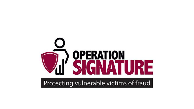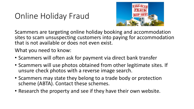## Online Holiday Fraud



Scammers are targeting online holiday booking and accommodation sites to scam unsuspecting customers into paying for accommodation that is not available or does not even exist.

What you need to know:

- Scammers will often ask for payment via direct bank transfer
- Scammers will use photos obtained from other legitimate sites. If unsure check photos with a reverse image search.
- Scammers may state they belong to a trade body or protection scheme (ABTA). Contact these schemes.
- Research the property and see if they have their own website.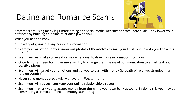# Dating and Romance Scams



Scammers are using many legitimate dating and social media websites to scam individuals. They lower your defences by building an online relationship with you.

What you need to know:

- Be wary of giving out any personal information
- Scammers will often show glamourous photos of themselves to gain your trust. But how do you know it is them?
- Scammers will make conversation more personal to draw more information from you
- Once trust has been built scammers will try to change their means of communication to email, text and possibly phone.
- Scammers will target your emotions and get you to part with money (ie death of relative, stranded in a foreign country)
- Never send money abroad (via Moneygram, Western Union)
- Scammers will request you keep your online relationship a secret
- Scammers may ask you to accept money from them into your own bank account. By doing this you may be committing a criminal offence of money laundering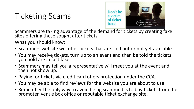# Ticketing Scams



Scammers are taking advantage of the demand for tickets by creating fake sites offering these sought after tickets.

What you should know:

- Scammers website will offer tickets that are sold out or not yet available
- You may receive tickets, turn up to an event and then be told the tickets you hold are in fact fake.
- Scammers may tell you a representative will meet you at the event and then not show up.
- Paying for tickets via credit card offers protection under the CCA.
- You may be able to find reviews for the website you are about to use.
- Remember the only way to avoid being scammed is to buy tickets from the promoter, venue box office or reputable ticket exchange site.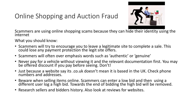#### Online Shopping and Auction Fraud



Scammers are using online shopping scams because they can hide their identity using the internet

What you should know:

- Scammers will try to encourage you to leave a legitimate site to complete a sale. This could lose any payment protection the legit site offers.
- Scammers will often over emphasis words such as 'authentic' or 'genuine'
- Never pay for a vehicle without viewing it and the relevant documentation first. You may be offered discount if you pay before seeing. Don't!
- Just because a website say its .co.uk doesn't mean it is based in the UK. Check phone numbers and addresses.
- Beware when selling items online. Scammers can enter a low bid and then using a different user log a high bid. Towards the end of bidding the high bid will be removed.
- Research sellers and bidders history. Also look at reviews for websites.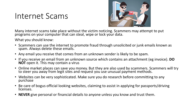### Internet Scams



Many internet scams take place without the victim noticing. Scammers may attempt to put programs on your computer that can steal, wipe or lock your data.

What you should know:

- Scammers can use the internet to promote fraud through unsolicited or junk emails known as spam. Always delete these emails.
- Any email you receive that comes from an unknown sender is likely to be spam.
- If you receive an email from an unknown source which contains an attachment (eg invoice). **DO NOT** open it. This may contain a virus
- Online market places can save you money. But they are also used by scammers. Scammers will try to steer you away from legit sites and request you use unusual payment methods.
- Websites can be very sophisticated. Make sure you do research before committing to any purchase
- Be care of bogus official looking websites, claiming to assist in applying for passports/driving licenses.
- **NEVER** give personal or financial details to anyone unless you know and trust them.